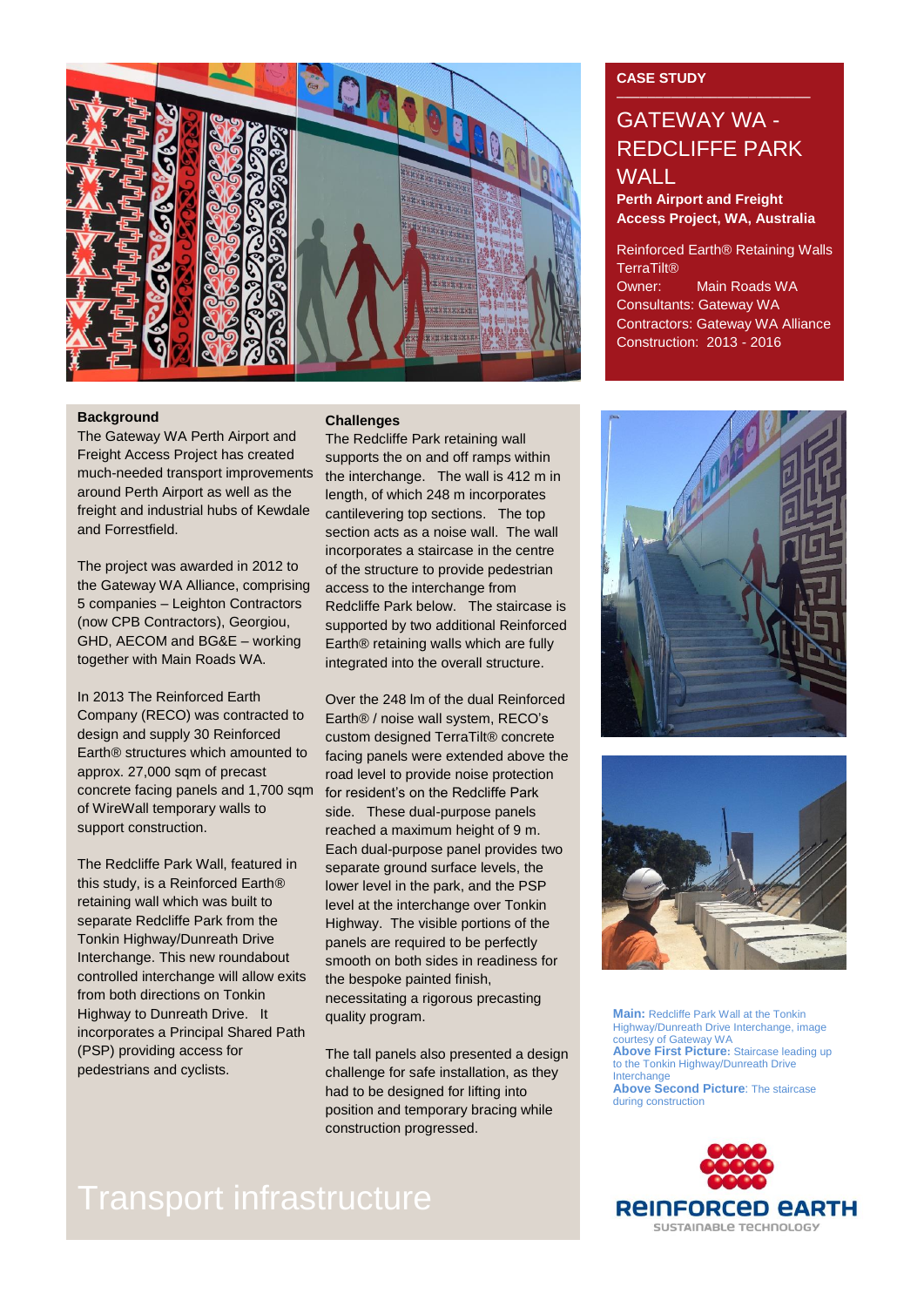

### **Background**

The Gateway WA Perth Airport and Freight Access Project has created much-needed transport improvements around Perth Airport as well as the freight and industrial hubs of Kewdale and Forrestfield.

The project was awarded in 2012 to the Gateway WA Alliance, comprising 5 companies – Leighton Contractors (now CPB Contractors), Georgiou, GHD, AECOM and BG&E – working together with Main Roads WA.

In 2013 The Reinforced Earth Company (RECO) was contracted to design and supply 30 Reinforced Earth® structures which amounted to approx. 27,000 sqm of precast concrete facing panels and 1,700 sqm of WireWall temporary walls to support construction.

The Redcliffe Park Wall, featured in this study, is a Reinforced Earth® retaining wall which was built to separate Redcliffe Park from the Tonkin Highway/Dunreath Drive Interchange. This new roundabout controlled interchange will allow exits from both directions on Tonkin Highway to Dunreath Drive. It incorporates a Principal Shared Path (PSP) providing access for pedestrians and cyclists.

### **Challenges**

The Redcliffe Park retaining wall supports the on and off ramps within the interchange. The wall is 412 m in length, of which 248 m incorporates cantilevering top sections. The top section acts as a noise wall. The wall incorporates a staircase in the centre of the structure to provide pedestrian access to the interchange from Redcliffe Park below. The staircase is supported by two additional Reinforced Earth® retaining walls which are fully integrated into the overall structure.

Over the 248 lm of the dual Reinforced Earth® / noise wall system, RECO's custom designed TerraTilt® concrete facing panels were extended above the road level to provide noise protection for resident's on the Redcliffe Park side. These dual-purpose panels reached a maximum height of 9 m. Each dual-purpose panel provides two separate ground surface levels, the lower level in the park, and the PSP level at the interchange over Tonkin Highway. The visible portions of the panels are required to be perfectly smooth on both sides in readiness for the bespoke painted finish, necessitating a rigorous precasting quality program.

The tall panels also presented a design challenge for safe installation, as they had to be designed for lifting into position and temporary bracing while construction progressed.

# Transport infrastructure

### **CASE STUDY**

## GATEWAY WA - REDCLIFFE PARK WALL

**Perth Airport and Freight Access Project, WA, Australia**

Reinforced Earth® Retaining Walls **TerraTilt®** Owner: Main Roads WA Consultants: Gateway WA Contractors: Gateway WA Alliance Construction: 2013 - 2016





**Main:** Redcliffe Park Wall at the Tonkin Highway/Dunreath Drive Interchange, image courtesy of Gateway WA **Above First Picture:** Staircase leading up to the Tonkin Highway/Dunreath Drive Interchange **Above Second Picture**: The staircase during construction